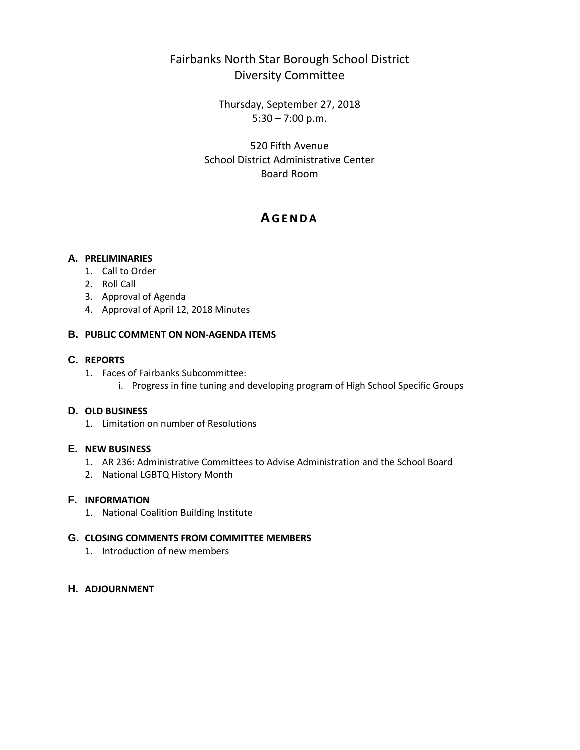# Fairbanks North Star Borough School District Diversity Committee

Thursday, September 27, 2018  $5:30 - 7:00$  p.m.

520 Fifth Avenue School District Administrative Center Board Room

# **A GENDA**

## **A. PRELIMINARIES**

- 1. Call to Order
- 2. Roll Call
- 3. Approval of Agenda
- 4. Approval of April 12, 2018 Minutes

### **B. PUBLIC COMMENT ON NON-AGENDA ITEMS**

# **C. REPORTS**

- 1. Faces of Fairbanks Subcommittee:
	- i. Progress in fine tuning and developing program of High School Specific Groups

## **D. OLD BUSINESS**

1. Limitation on number of Resolutions

## **E. NEW BUSINESS**

- 1. AR 236: Administrative Committees to Advise Administration and the School Board
- 2. National LGBTQ History Month

## **F. INFORMATION**

1. National Coalition Building Institute

#### **G. CLOSING COMMENTS FROM COMMITTEE MEMBERS**

1. Introduction of new members

## **H. ADJOURNMENT**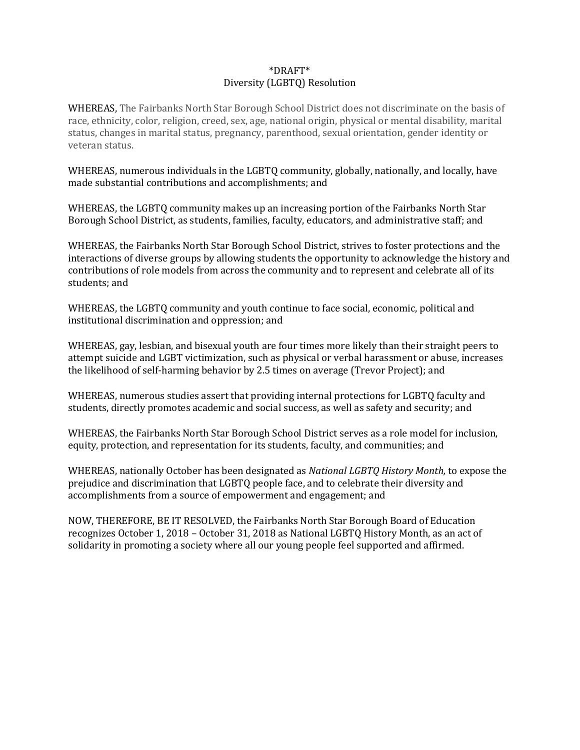### \*DRAFT\* Diversity (LGBTQ) Resolution

WHEREAS, The Fairbanks North Star Borough School District does not discriminate on the basis of race, ethnicity, color, religion, creed, sex, age, national origin, physical or mental disability, marital status, changes in marital status, pregnancy, parenthood, sexual orientation, gender identity or veteran status.

WHEREAS, numerous individuals in the LGBTQ community, globally, nationally, and locally, have made substantial contributions and accomplishments; and

WHEREAS, the LGBTQ community makes up an increasing portion of the Fairbanks North Star Borough School District, as students, families, faculty, educators, and administrative staff; and

WHEREAS, the Fairbanks North Star Borough School District, strives to foster protections and the interactions of diverse groups by allowing students the opportunity to acknowledge the history and contributions of role models from across the community and to represent and celebrate all of its students; and

WHEREAS, the LGBTQ community and youth continue to face social, economic, political and institutional discrimination and oppression; and

WHEREAS, gay, lesbian, and bisexual youth are four times more likely than their straight peers to attempt suicide and LGBT victimization, such as physical or verbal harassment or abuse, increases the likelihood of self-harming behavior by 2.5 times on average (Trevor Project); and

WHEREAS, numerous studies assert that providing internal protections for LGBTQ faculty and students, directly promotes academic and social success, as well as safety and security; and

WHEREAS, the Fairbanks North Star Borough School District serves as a role model for inclusion, equity, protection, and representation for its students, faculty, and communities; and

WHEREAS, nationally October has been designated as *National LGBTQ History Month,* to expose the prejudice and discrimination that LGBTQ people face, and to celebrate their diversity and accomplishments from a source of empowerment and engagement; and

NOW, THEREFORE, BE IT RESOLVED, the Fairbanks North Star Borough Board of Education recognizes October 1, 2018 – October 31, 2018 as National LGBTQ History Month, as an act of solidarity in promoting a society where all our young people feel supported and affirmed.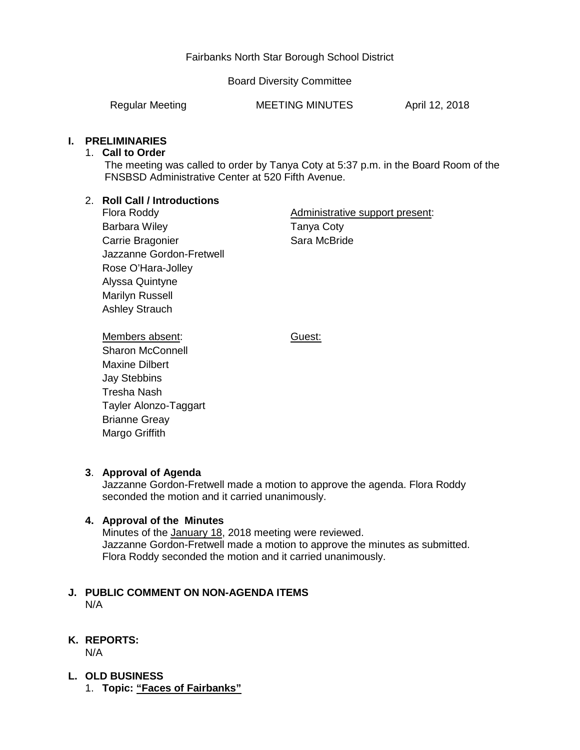# Fairbanks North Star Borough School District

Board Diversity Committee

Regular Meeting **MEETING MINUTES** April 12, 2018

# **I. PRELIMINARIES**

### 1. **Call to Order**

The meeting was called to order by Tanya Coty at 5:37 p.m. in the Board Room of the FNSBSD Administrative Center at 520 Fifth Avenue.

# 2. **Roll Call / Introductions**

Flora Roddy Barbara Wiley Carrie Bragonier Jazzanne Gordon-Fretwell Rose O'Hara-Jolley Alyssa Quintyne Marilyn Russell Ashley Strauch

Administrative support present: Tanya Coty Sara McBride

Guest:

Members absent: Sharon McConnell Maxine Dilbert Jay Stebbins Tresha Nash Tayler Alonzo-Taggart Brianne Greay Margo Griffith

# **3**. **Approval of Agenda**

Jazzanne Gordon-Fretwell made a motion to approve the agenda. Flora Roddy seconded the motion and it carried unanimously.

## **4. Approval of the Minutes**

Minutes of the January 18, 2018 meeting were reviewed. Jazzanne Gordon-Fretwell made a motion to approve the minutes as submitted. Flora Roddy seconded the motion and it carried unanimously.

### **J. PUBLIC COMMENT ON NON-AGENDA ITEMS** N/A

# **K. REPORTS:**

N/A

- **L. OLD BUSINESS**
	- 1. **Topic: "Faces of Fairbanks"**